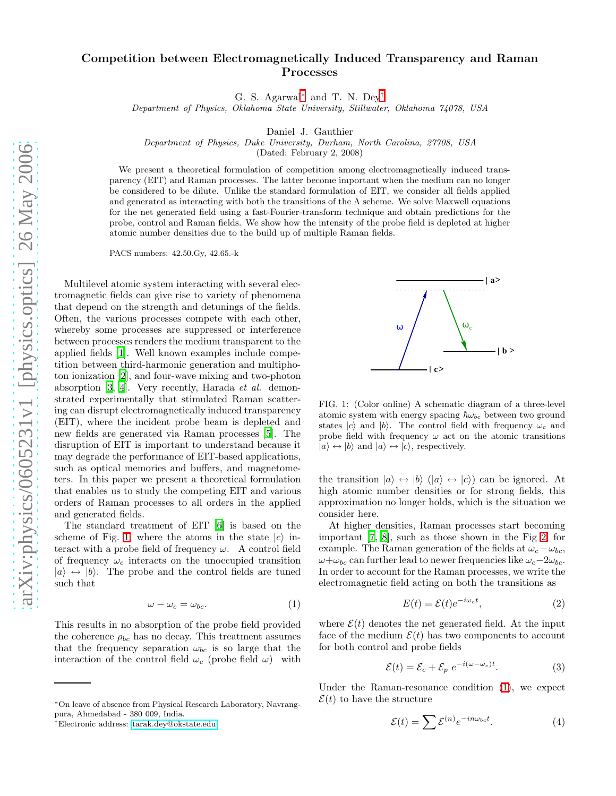## Competition between Electromagnetically Induced Transparency and Raman Processes

G. S. Agarwal[∗](#page-0-0) and T. N. Dey[†](#page-0-1)

Department of Physics, Oklahoma State University, Stillwater, Oklahoma 74078, USA

Daniel J. Gauthier

Department of Physics, Duke University, Durham, North Carolina, 27708, USA

(Dated: February 2, 2008)

We present a theoretical formulation of competition among electromagnetically induced transparency (EIT) and Raman processes. The latter become important when the medium can no longer be considered to be dilute. Unlike the standard formulation of EIT, we consider all fields applied and generated as interacting with both the transitions of the  $\Lambda$  scheme. We solve Maxwell equations for the net generated field using a fast-Fourier-transform technique and obtain predictions for the probe, control and Raman fields. We show how the intensity of the probe field is depleted at higher atomic number densities due to the build up of multiple Raman fields.

PACS numbers: 42.50.Gy, 42.65.-k

Multilevel atomic system interacting with several electromagnetic fields can give rise to variety of phenomena that depend on the strength and detunings of the fields. Often, the various processes compete with each other, whereby some processes are suppressed or interference between processes renders the medium transparent to the applied fields [\[1](#page-3-0)]. Well known examples include competition between third-harmonic generation and multiphoton ionization [\[2](#page-3-1)], and four-wave mixing and two-photon absorption [\[3,](#page-3-2) [4\]](#page-3-3). Very recently, Harada et al. demonstrated experimentally that stimulated Raman scattering can disrupt electromagnetically induced transparency (EIT), where the incident probe beam is depleted and new fields are generated via Raman processes [\[5\]](#page-3-4). The disruption of EIT is important to understand because it may degrade the performance of EIT-based applications, such as optical memories and buffers, and magnetometers. In this paper we present a theoretical formulation that enables us to study the competing EIT and various orders of Raman processes to all orders in the applied and generated fields.

<span id="page-0-3"></span>The standard treatment of EIT [\[6\]](#page-3-5) is based on the scheme of Fig. [1,](#page-0-2) where the atoms in the state  $|c\rangle$  interact with a probe field of frequency  $\omega$ . A control field of frequency  $\omega_c$  interacts on the unoccupied transition  $|a\rangle \leftrightarrow |b\rangle$ . The probe and the control fields are tuned such that

$$
\omega - \omega_c = \omega_{bc}.\tag{1}
$$

This results in no absorption of the probe field provided the coherence  $\rho_{bc}$  has no decay. This treatment assumes that the frequency separation  $\omega_{bc}$  is so large that the interaction of the control field  $\omega_c$  (probe field  $\omega$ ) with



<span id="page-0-2"></span>FIG. 1: (Color online) A schematic diagram of a three-level atomic system with energy spacing  $\hbar\omega_{bc}$  between two ground states  $|c\rangle$  and  $|b\rangle$ . The control field with frequency  $\omega_c$  and probe field with frequency  $\omega$  act on the atomic transitions  $|a\rangle \leftrightarrow |b\rangle$  and  $|a\rangle \leftrightarrow |c\rangle$ , respectively.

the transition  $|a\rangle \leftrightarrow |b\rangle$  ( $|a\rangle \leftrightarrow |c\rangle$ ) can be ignored. At high atomic number densities or for strong fields, this approximation no longer holds, which is the situation we consider here.

At higher densities, Raman processes start becoming important [\[7,](#page-3-6) [8\]](#page-3-7), such as those shown in the Fig [2,](#page-1-0) for example. The Raman generation of the fields at  $\omega_c - \omega_{bc}$ ,  $\omega+\omega_{bc}$  can further lead to newer frequencies like  $\omega_c-2\omega_{bc}$ . In order to account for the Raman processes, we write the electromagnetic field acting on both the transitions as

$$
E(t) = \mathcal{E}(t)e^{-i\omega_c t},\tag{2}
$$

where  $\mathcal{E}(t)$  denotes the net generated field. At the input face of the medium  $\mathcal{E}(t)$  has two components to account for both control and probe fields

<span id="page-0-4"></span>
$$
\mathcal{E}(t) = \mathcal{E}_c + \mathcal{E}_p \ e^{-i(\omega - \omega_c)t}.\tag{3}
$$

Under the Raman-resonance condition [\(1\)](#page-0-3), we expect  $\mathcal{E}(t)$  to have the structure

$$
\mathcal{E}(t) = \sum \mathcal{E}^{(n)} e^{-in\omega_{bc}t}.
$$
 (4)

<span id="page-0-0"></span><sup>∗</sup>On leave of absence from Physical Research Laboratory, Navrangpura, Ahmedabad - 380 009, India.

<span id="page-0-1"></span><sup>†</sup>Electronic address: [tarak.dey@okstate.edu](mailto:tarak.dey@okstate.edu)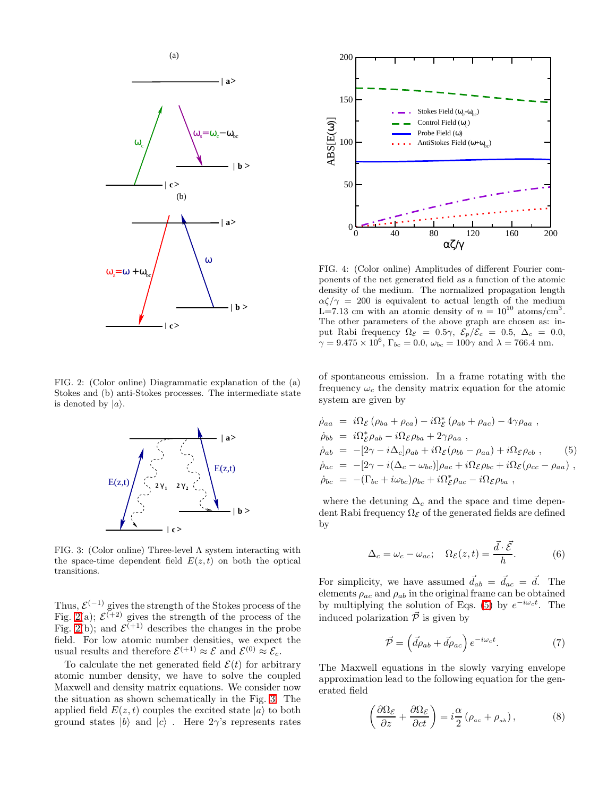

<span id="page-1-0"></span>FIG. 2: (Color online) Diagrammatic explanation of the (a) Stokes and (b) anti-Stokes processes. The intermediate state is denoted by  $|a\rangle$ .



<span id="page-1-1"></span>FIG. 3: (Color online) Three-level  $\Lambda$  system interacting with the space-time dependent field  $E(z,t)$  on both the optical transitions.

Thus,  $\mathcal{E}^{(-1)}$  gives the strength of the Stokes process of the Fig. [2\(](#page-1-0)a);  $\mathcal{E}^{(+2)}$  gives the strength of the process of the Fig. [2\(](#page-1-0)b); and  $\mathcal{E}^{(+1)}$  describes the changes in the probe field. For low atomic number densities, we expect the usual results and therefore  $\mathcal{E}^{(+1)} \approx \mathcal{E}$  and  $\mathcal{E}^{(0)} \approx \mathcal{E}_c$ .

To calculate the net generated field  $\mathcal{E}(t)$  for arbitrary atomic number density, we have to solve the coupled Maxwell and density matrix equations. We consider now the situation as shown schematically in the Fig. [3.](#page-1-1) The applied field  $E(z, t)$  couples the excited state  $|a\rangle$  to both ground states  $|b\rangle$  and  $|c\rangle$ . Here  $2\gamma$ 's represents rates



<span id="page-1-4"></span>FIG. 4: (Color online) Amplitudes of different Fourier components of the net generated field as a function of the atomic density of the medium. The normalized propagation length  $\alpha\zeta/\gamma = 200$  is equivalent to actual length of the medium  $\text{L} = 7.13 \text{ cm}$  with an atomic density of  $n = 10^{10} \text{ atoms/cm}^3$ . The other parameters of the above graph are chosen as: input Rabi frequency  $\Omega_{\mathcal{E}} = 0.5\gamma, \ \mathcal{E}_{p}/\mathcal{E}_{c} = 0.5, \ \Delta_{c} = 0.0,$  $\gamma = 9.475 \times 10^6$ ,  $\Gamma_{bc} = 0.0$ ,  $\omega_{bc} = 100\gamma$  and  $\lambda = 766.4$  nm.

of spontaneous emission. In a frame rotating with the frequency  $\omega_c$  the density matrix equation for the atomic system are given by

<span id="page-1-2"></span>
$$
\dot{\rho}_{aa} = i\Omega_{\mathcal{E}} (\rho_{ba} + \rho_{ca}) - i\Omega_{\mathcal{E}}^* (\rho_{ab} + \rho_{ac}) - 4\gamma \rho_{aa} ,
$$
\n
$$
\dot{\rho}_{bb} = i\Omega_{\mathcal{E}}^* \rho_{ab} - i\Omega_{\mathcal{E}} \rho_{ba} + 2\gamma \rho_{aa} ,
$$
\n
$$
\dot{\rho}_{ab} = -[2\gamma - i\Delta_c] \rho_{ab} + i\Omega_{\mathcal{E}} (\rho_{bb} - \rho_{aa}) + i\Omega_{\mathcal{E}} \rho_{cb} ,
$$
\n
$$
\dot{\rho}_{ac} = -[2\gamma - i(\Delta_c - \omega_{bc})] \rho_{ac} + i\Omega_{\mathcal{E}} \rho_{bc} + i\Omega_{\mathcal{E}} (\rho_{cc} - \rho_{aa}) ,
$$
\n
$$
\dot{\rho}_{bc} = -(\Gamma_{bc} + i\omega_{bc}) \rho_{bc} + i\Omega_{\mathcal{E}}^* \rho_{ac} - i\Omega_{\mathcal{E}} \rho_{ba} ,
$$

where the detuning  $\Delta_c$  and the space and time dependent Rabi frequency  $\Omega_{\mathcal{E}}$  of the generated fields are defined by

$$
\Delta_c = \omega_c - \omega_{ac}; \quad \Omega_{\mathcal{E}}(z, t) = \frac{\vec{d} \cdot \vec{\mathcal{E}}}{\hbar}.
$$
 (6)

For simplicity, we have assumed  $\vec{d}_{ab} = \vec{d}_{ac} = \vec{d}$ . The elements  $\rho_{ac}$  and  $\rho_{ab}$  in the original frame can be obtained by multiplying the solution of Eqs. [\(5\)](#page-1-2) by  $e^{-i\omega_c t}$ . The induced polarization  $\vec{P}$  is given by

$$
\vec{\mathcal{P}} = \left(\vec{d\rho}_{ab} + \vec{d\rho}_{ac}\right) e^{-i\omega_c t}.\tag{7}
$$

<span id="page-1-3"></span>The Maxwell equations in the slowly varying envelope approximation lead to the following equation for the generated field

$$
\left(\frac{\partial\Omega_{\mathcal{E}}}{\partial z} + \frac{\partial\Omega_{\mathcal{E}}}{\partial ct}\right) = i\frac{\alpha}{2} \left(\rho_{ac} + \rho_{ab}\right),\tag{8}
$$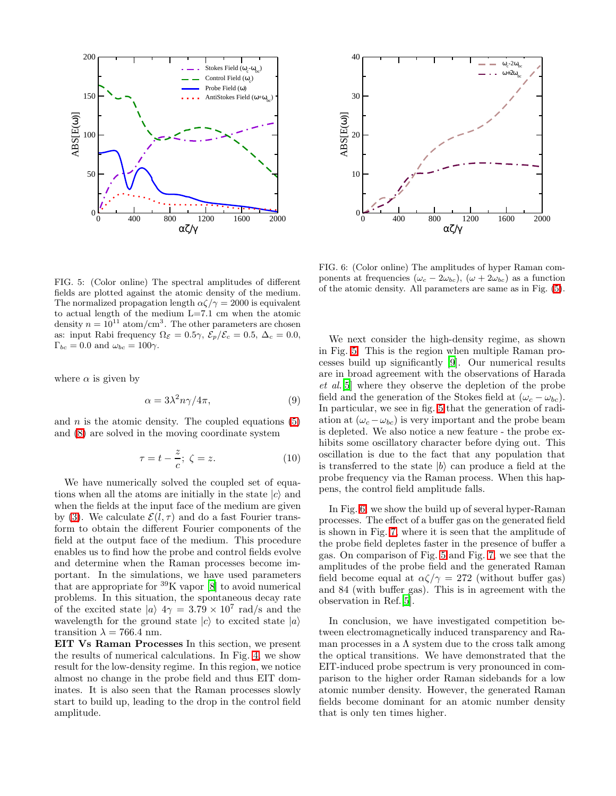



<span id="page-2-1"></span>FIG. 6: (Color online) The amplitudes of hyper Raman components at frequencies ( $\omega_c - 2\omega_{bc}$ ), ( $\omega + 2\omega_{bc}$ ) as a function of the atomic density. All parameters are same as in Fig. [\(5\)](#page-2-0).

<span id="page-2-0"></span>FIG. 5: (Color online) The spectral amplitudes of different fields are plotted against the atomic density of the medium. The normalized propagation length  $\alpha\zeta/\gamma = 2000$  is equivalent to actual length of the medium L=7.1 cm when the atomic density  $n = 10^{11}$  atom/cm<sup>3</sup>. The other parameters are chosen as: input Rabi frequency  $\Omega_{\mathcal{E}} = 0.5\gamma$ ,  $\mathcal{E}_p/\mathcal{E}_c = 0.5$ ,  $\Delta_c = 0.0$ ,  $\Gamma_{bc} = 0.0$  and  $\omega_{bc} = 100\gamma$ .

where  $\alpha$  is given by

$$
\alpha = 3\lambda^2 n\gamma/4\pi,\tag{9}
$$

and n is the atomic density. The coupled equations  $(5)$ and [\(8\)](#page-1-3) are solved in the moving coordinate system

$$
\tau = t - \frac{z}{c}; \ \zeta = z. \tag{10}
$$

We have numerically solved the coupled set of equations when all the atoms are initially in the state  $|c\rangle$  and when the fields at the input face of the medium are given by [\(3\)](#page-0-4). We calculate  $\mathcal{E}(l, \tau)$  and do a fast Fourier transform to obtain the different Fourier components of the field at the output face of the medium. This procedure enables us to find how the probe and control fields evolve and determine when the Raman processes become important. In the simulations, we have used parameters that are appropriate for  ${}^{39}$ K vapor [\[8\]](#page-3-7) to avoid numerical problems. In this situation, the spontaneous decay rate of the excited state  $|a\rangle$  4 $\gamma = 3.79 \times 10^7$  rad/s and the wavelength for the ground state  $|c\rangle$  to excited state  $|a\rangle$ transition  $\lambda = 766.4$  nm.

EIT Vs Raman Processes In this section, we present the results of numerical calculations. In Fig. [4,](#page-1-4) we show result for the low-density regime. In this region, we notice almost no change in the probe field and thus EIT dominates. It is also seen that the Raman processes slowly start to build up, leading to the drop in the control field amplitude.

We next consider the high-density regime, as shown in Fig. [5.](#page-2-0) This is the region when multiple Raman processes build up significantly [\[9\]](#page-3-8). Our numerical results are in broad agreement with the observations of Harada et al.[\[5\]](#page-3-4) where they observe the depletion of the probe field and the generation of the Stokes field at  $(\omega_c - \omega_{bc})$ . In particular, we see in fig. [5](#page-2-0) that the generation of radiation at  $(\omega_c - \omega_{bc})$  is very important and the probe beam is depleted. We also notice a new feature - the probe exhibits some oscillatory character before dying out. This oscillation is due to the fact that any population that is transferred to the state  $|b\rangle$  can produce a field at the probe frequency via the Raman process. When this happens, the control field amplitude falls.

In Fig. [6,](#page-2-1) we show the build up of several hyper-Raman processes. The effect of a buffer gas on the generated field is shown in Fig. [7,](#page-3-9) where it is seen that the amplitude of the probe field depletes faster in the presence of buffer a gas. On comparison of Fig. [5](#page-2-0) and Fig. [7,](#page-3-9) we see that the amplitudes of the probe field and the generated Raman field become equal at  $\alpha\zeta/\gamma = 272$  (without buffer gas) and 84 (with buffer gas). This is in agreement with the observation in Ref.[\[5\]](#page-3-4).

In conclusion, we have investigated competition between electromagnetically induced transparency and Raman processes in a  $\Lambda$  system due to the cross talk among the optical transitions. We have demonstrated that the EIT-induced probe spectrum is very pronounced in comparison to the higher order Raman sidebands for a low atomic number density. However, the generated Raman fields become dominant for an atomic number density that is only ten times higher.